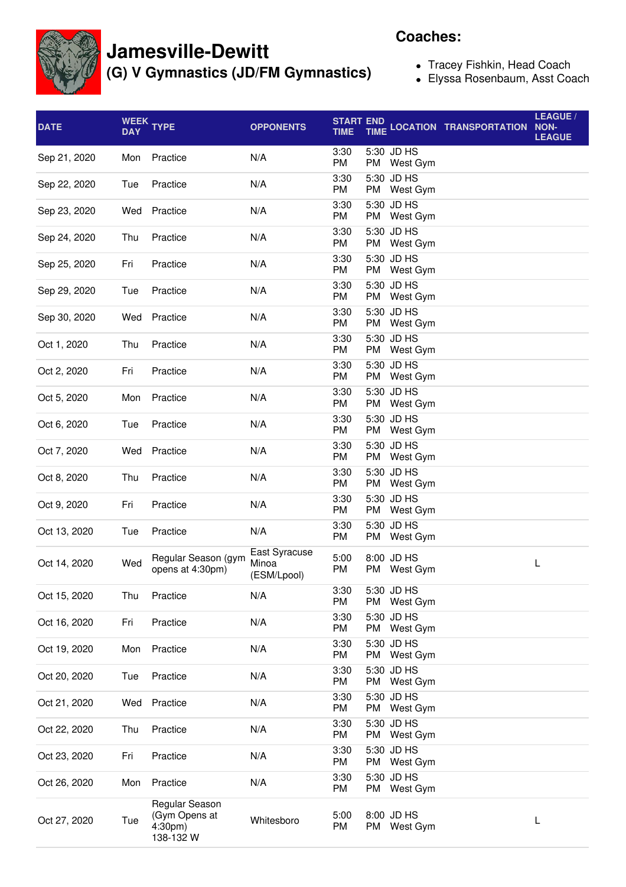

## **Jamesville-Dewitt**

**(G) V Gymnastics (JD/FM Gymnastics)**

## **Coaches:**

- Tracey Fishkin, Head Coach
- Elyssa Rosenbaum, Asst Coach

| <b>DATE</b>  | <b>DAY</b> | WEEK TYPE                                               | <b>OPPONENTS</b>                      | <b>START END</b><br><b>TIME</b> | <b>TIME</b>               | <b>LOCATION TRANSPORTATION</b> | LEAGUE /<br>NON-<br><b>LEAGUE</b> |
|--------------|------------|---------------------------------------------------------|---------------------------------------|---------------------------------|---------------------------|--------------------------------|-----------------------------------|
| Sep 21, 2020 | Mon        | Practice                                                | N/A                                   | 3:30<br><b>PM</b>               | 5:30 JD HS<br>PM West Gym |                                |                                   |
| Sep 22, 2020 | Tue        | Practice                                                | N/A                                   | 3:30<br><b>PM</b>               | 5:30 JD HS<br>PM West Gym |                                |                                   |
| Sep 23, 2020 | Wed        | Practice                                                | N/A                                   | 3:30<br><b>PM</b>               | 5:30 JD HS<br>PM West Gym |                                |                                   |
| Sep 24, 2020 | Thu        | Practice                                                | N/A                                   | 3:30<br><b>PM</b>               | 5:30 JD HS<br>PM West Gym |                                |                                   |
| Sep 25, 2020 | Fri        | Practice                                                | N/A                                   | 3:30<br>PM                      | 5:30 JD HS<br>PM West Gym |                                |                                   |
| Sep 29, 2020 | Tue        | Practice                                                | N/A                                   | 3:30<br>PM                      | 5:30 JD HS<br>PM West Gym |                                |                                   |
| Sep 30, 2020 | Wed        | Practice                                                | N/A                                   | 3:30<br>PM                      | 5:30 JD HS<br>PM West Gym |                                |                                   |
| Oct 1, 2020  | Thu        | Practice                                                | N/A                                   | 3:30<br>PM                      | 5:30 JD HS<br>PM West Gym |                                |                                   |
| Oct 2, 2020  | Fri        | Practice                                                | N/A                                   | 3:30<br>PM                      | 5:30 JD HS<br>PM West Gym |                                |                                   |
| Oct 5, 2020  | Mon        | Practice                                                | N/A                                   | 3:30<br>PM                      | 5:30 JD HS<br>PM West Gym |                                |                                   |
| Oct 6, 2020  | Tue        | Practice                                                | N/A                                   | 3:30<br><b>PM</b>               | 5:30 JD HS<br>PM West Gym |                                |                                   |
| Oct 7, 2020  | Wed        | Practice                                                | N/A                                   | 3:30<br><b>PM</b>               | 5:30 JD HS<br>PM West Gym |                                |                                   |
| Oct 8, 2020  | Thu        | Practice                                                | N/A                                   | 3:30<br><b>PM</b>               | 5:30 JD HS<br>PM West Gym |                                |                                   |
| Oct 9, 2020  | Fri        | Practice                                                | N/A                                   | 3:30<br>PM                      | 5:30 JD HS<br>PM West Gym |                                |                                   |
| Oct 13, 2020 | Tue        | Practice                                                | N/A                                   | 3:30<br>PM                      | 5:30 JD HS<br>PM West Gym |                                |                                   |
| Oct 14, 2020 | Wed        | Regular Season (gym<br>opens at 4:30pm)                 | East Syracuse<br>Minoa<br>(ESM/Lpool) | 5:00<br>PM                      | 8:00 JD HS<br>PM West Gym |                                | L                                 |
| Oct 15, 2020 | Thu        | Practice                                                | N/A                                   | 3:30<br>PM                      | 5:30 JD HS<br>PM West Gym |                                |                                   |
| Oct 16, 2020 | Fri        | Practice                                                | N/A                                   | 3:30<br>PM                      | 5:30 JD HS<br>PM West Gym |                                |                                   |
| Oct 19, 2020 | Mon        | Practice                                                | N/A                                   | 3:30<br>PM                      | 5:30 JD HS<br>PM West Gym |                                |                                   |
| Oct 20, 2020 | Tue        | Practice                                                | N/A                                   | 3:30<br>PM                      | 5:30 JD HS<br>PM West Gym |                                |                                   |
| Oct 21, 2020 | Wed        | Practice                                                | N/A                                   | 3:30<br>PM                      | 5:30 JD HS<br>PM West Gym |                                |                                   |
| Oct 22, 2020 | Thu        | Practice                                                | N/A                                   | 3:30<br>PM                      | 5:30 JD HS<br>PM West Gym |                                |                                   |
| Oct 23, 2020 | Fri        | Practice                                                | N/A                                   | 3:30<br>PM                      | 5:30 JD HS<br>PM West Gym |                                |                                   |
| Oct 26, 2020 | Mon        | Practice                                                | N/A                                   | 3:30<br>PM                      | 5:30 JD HS<br>PM West Gym |                                |                                   |
| Oct 27, 2020 | Tue        | Regular Season<br>(Gym Opens at<br>4:30pm)<br>138-132 W | Whitesboro                            | 5:00<br>PM                      | 8:00 JD HS<br>PM West Gym |                                | L                                 |